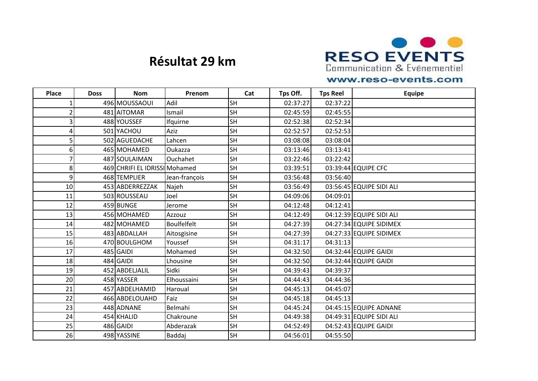

## **Résultat 29 km**

## www.reso-events.com

| <b>Place</b>    | <b>Doss</b> | <b>Nom</b>                    | Prenom             | Cat       | Tps Off. | <b>Tps Reel</b> | <b>Equipe</b>            |
|-----------------|-------------|-------------------------------|--------------------|-----------|----------|-----------------|--------------------------|
|                 |             | 496 MOUSSAOUI                 | Adil               | <b>SH</b> | 02:37:27 | 02:37:22        |                          |
|                 |             | 481 AITOMAR                   | Ismail             | <b>SH</b> | 02:45:59 | 02:45:55        |                          |
| $\overline{3}$  |             | 488 YOUSSEF                   | Ifquirne           | <b>SH</b> | 02:52:38 | 02:52:34        |                          |
| $\vert 4 \vert$ |             | 501 YACHOU                    | Aziz               | <b>SH</b> | 02:52:57 | 02:52:53        |                          |
| 5               |             | 502 AGUEDACHE                 | Lahcen             | <b>SH</b> | 03:08:08 | 03:08:04        |                          |
| 6 <sup>1</sup>  |             | 465 MOHAMED                   | Oukazza            | <b>SH</b> | 03:13:46 | 03:13:41        |                          |
| $\overline{7}$  |             | 487 SOULAIMAN                 | <b>Ouchahet</b>    | <b>SH</b> | 03:22:46 | 03:22:42        |                          |
| 8               |             | 469 CHRIFI EL IDRISSI Mohamed |                    | <b>SH</b> | 03:39:51 |                 | 03:39:44 EQUIPE CFC      |
| $\overline{9}$  |             | 468 TEMPLIER                  | Jean-françois      | <b>SH</b> | 03:56:48 | 03:56:40        |                          |
| 10              |             | 453 ABDERREZZAK               | Najeh              | <b>SH</b> | 03:56:49 |                 | 03:56:45 EQUIPE SIDI ALI |
| 11              |             | 503 ROUSSEAU                  | Joel               | <b>SH</b> | 04:09:06 | 04:09:01        |                          |
| 12              |             | 459 BUNGE                     | Jerome             | <b>SH</b> | 04:12:48 | 04:12:41        |                          |
| 13              |             | 456 MOHAMED                   | Azzouz             | <b>SH</b> | 04:12:49 |                 | 04:12:39 EQUIPE SIDI ALI |
| 14              |             | 482 MOHAMED                   | <b>Boulfelfelt</b> | <b>SH</b> | 04:27:39 |                 | 04:27:34 EQUIPE SIDIMEX  |
| 15              |             | 483 ABDALLAH                  | Aitosgisine        | <b>SH</b> | 04:27:39 |                 | 04:27:33 EQUIPE SIDIMEX  |
| 16              |             | 470 BOULGHOM                  | Youssef            | <b>SH</b> | 04:31:17 | 04:31:13        |                          |
| 17              |             | 485 GAIDI                     | Mohamed            | <b>SH</b> | 04:32:50 |                 | 04:32:44 EQUIPE GAIDI    |
| 18              |             | 484 GAIDI                     | Lhousine           | <b>SH</b> | 04:32:50 |                 | 04:32:44 EQUIPE GAIDI    |
| 19              |             | 452 ABDELJALIL                | Sidki              | <b>SH</b> | 04:39:43 | 04:39:37        |                          |
| 20              |             | 458 YASSER                    | Elhoussaini        | <b>SH</b> | 04:44:43 | 04:44:36        |                          |
| 21              |             | 457 ABDELHAMID                | Haroual            | <b>SH</b> | 04:45:13 | 04:45:07        |                          |
| 22              |             | 466 ABDELOUAHD                | Faiz               | <b>SH</b> | 04:45:18 | 04:45:13        |                          |
| 23              |             | 448 ADNANE                    | Belmahi            | <b>SH</b> | 04:45:24 |                 | 04:45:15 EQUIPE ADNANE   |
| 24              |             | 454 KHALID                    | Chakroune          | <b>SH</b> | 04:49:38 |                 | 04:49:31 EQUIPE SIDI ALI |
| 25              |             | 486 GAIDI                     | Abderazak          | <b>SH</b> | 04:52:49 |                 | 04:52:43 EQUIPE GAIDI    |
| 26              |             | 498 YASSINE                   | Baddaj             | <b>SH</b> | 04:56:01 | 04:55:50        |                          |